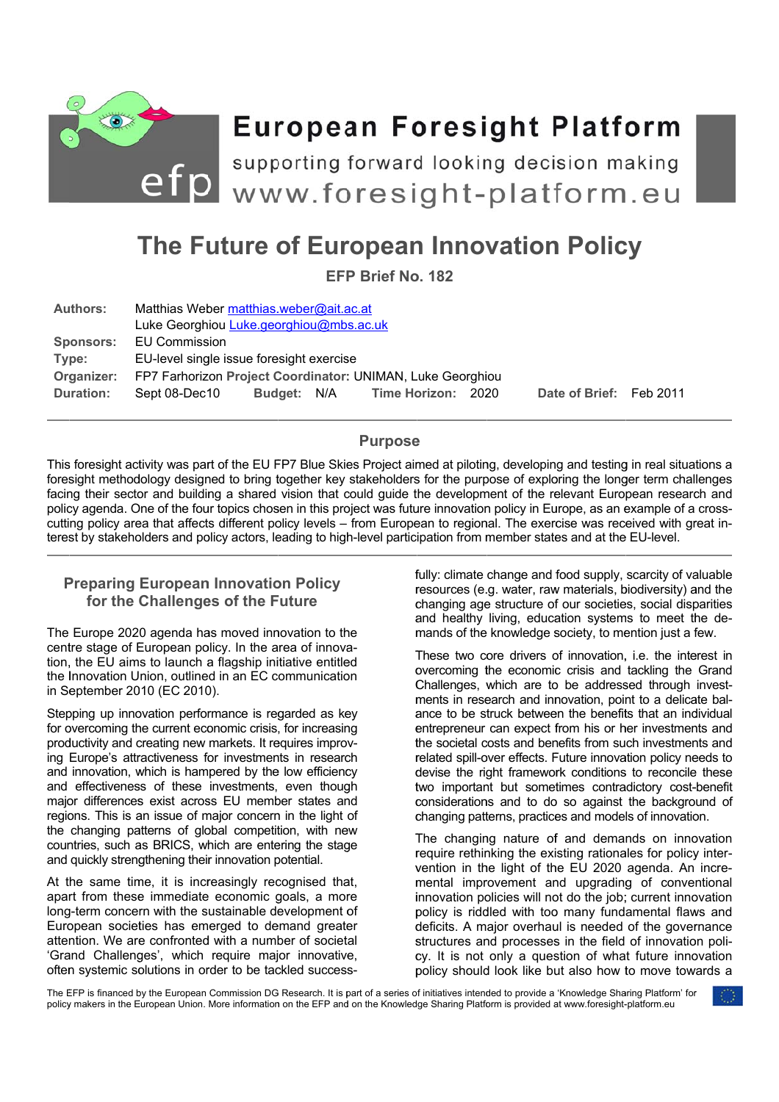

# The Future of European Innovation Policy

**EFP Brief No. 182** 

| Luke Georghiou Luke.georghiou@mbs.ac.uk                    |  |  |                      |                                         |        |                         |
|------------------------------------------------------------|--|--|----------------------|-----------------------------------------|--------|-------------------------|
| <b>EU Commission</b>                                       |  |  |                      |                                         |        |                         |
| EU-level single issue foresight exercise                   |  |  |                      |                                         |        |                         |
| FP7 Farhorizon Project Coordinator: UNIMAN, Luke Georghiou |  |  |                      |                                         |        |                         |
| Sept 08-Dec10                                              |  |  | <b>Time Horizon:</b> |                                         |        |                         |
|                                                            |  |  | Budget: N/A          | Matthias Weber matthias weber@ait.ac.at | - 2020 | Date of Brief: Feb 2011 |

## **Purpose**

This foresight activity was part of the EU FP7 Blue Skies Project aimed at piloting, developing and testing in real situations a foresight methodology designed to bring together key stakeholders for the purpose of exploring the longer term challenges facing their sector and building a shared vision that could guide the development of the relevant European research and policy agenda. One of the four topics chosen in this project was future innovation policy in Europe, as an example of a crosscutting policy area that affects different policy levels – from European to regional. The exercise was received with great interest by stakeholders and policy actors, leading to high-level participation from member states and at the EU-level.

# **Preparing European Innovation Policy** for the Challenges of the Future

The Europe 2020 agenda has moved innovation to the centre stage of European policy. In the area of innovation, the EU aims to launch a flagship initiative entitled the Innovation Union, outlined in an EC communication in September 2010 (EC 2010).

Stepping up innovation performance is regarded as key for overcoming the current economic crisis, for increasing productivity and creating new markets. It requires improving Europe's attractiveness for investments in research and innovation, which is hampered by the low efficiency and effectiveness of these investments, even though major differences exist across EU member states and regions. This is an issue of major concern in the light of the changing patterns of global competition, with new countries, such as BRICS, which are entering the stage and quickly strengthening their innovation potential.

At the same time, it is increasingly recognised that. apart from these immediate economic goals, a more long-term concern with the sustainable development of European societies has emerged to demand greater attention. We are confronted with a number of societal 'Grand Challenges', which require major innovative, often systemic solutions in order to be tackled successfully: climate change and food supply, scarcity of valuable resources (e.g. water, raw materials, biodiversity) and the changing age structure of our societies, social disparities and healthy living, education systems to meet the demands of the knowledge society, to mention just a few.

These two core drivers of innovation, i.e. the interest in overcoming the economic crisis and tackling the Grand Challenges, which are to be addressed through investments in research and innovation, point to a delicate balance to be struck between the benefits that an individual entrepreneur can expect from his or her investments and the societal costs and benefits from such investments and related spill-over effects. Future innovation policy needs to devise the right framework conditions to reconcile these two important but sometimes contradictory cost-benefit considerations and to do so against the background of changing patterns, practices and models of innovation.

The changing nature of and demands on innovation require rethinking the existing rationales for policy intervention in the light of the EU 2020 agenda. An incremental improvement and upgrading of conventional innovation policies will not do the job; current innovation policy is riddled with too many fundamental flaws and deficits. A major overhaul is needed of the governance structures and processes in the field of innovation policy. It is not only a question of what future innovation policy should look like but also how to move towards a

The EFP is financed by the European Commission DG Research. It is part of a series of initiatives intended to provide a 'Knowledge Sharing Platform' for policy makers in the European Union. More information on the EFP and on the Knowledge Sharing Platform is provided at www.foresight-platform.eu

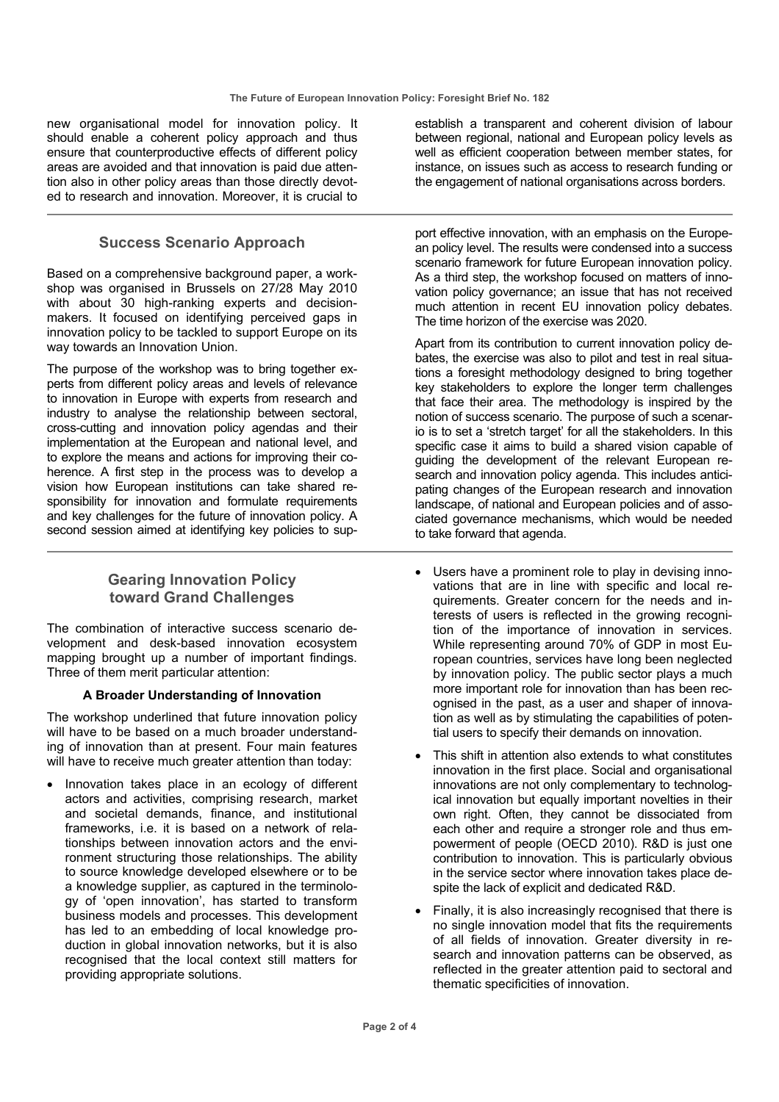new organisational model for innovation policy. It should enable a coherent policy approach and thus ensure that counterproductive effects of different policy areas are avoided and that innovation is paid due attention also in other policy areas than those directly devoted to research and innovation. Moreover, it is crucial to

# **Success Scenario Approach**

Based on a comprehensive background paper, a workshop was organised in Brussels on 27/28 May 2010 with about 30 high-ranking experts and decisionmakers. It focused on identifying perceived gaps in innovation policy to be tackled to support Europe on its way towards an Innovation Union.

The purpose of the workshop was to bring together experts from different policy areas and levels of relevance to innovation in Europe with experts from research and industry to analyse the relationship between sectoral, cross-cutting and innovation policy agendas and their implementation at the European and national level, and to explore the means and actions for improving their coherence. A first step in the process was to develop a vision how European institutions can take shared responsibility for innovation and formulate requirements and key challenges for the future of innovation policy. A second session aimed at identifying key policies to sup-

# **Gearing Innovation Policy toward Grand Challenges**

The combination of interactive success scenario development and desk-based innovation ecosystem mapping brought up a number of important findings. Three of them merit particular attention:

## **A Broader Understanding of Innovation**

The workshop underlined that future innovation policy will have to be based on a much broader understanding of innovation than at present. Four main features will have to receive much greater attention than today:

• Innovation takes place in an ecology of different actors and activities, comprising research, market and societal demands, finance, and institutional frameworks, i.e. it is based on a network of relationships between innovation actors and the environment structuring those relationships. The ability to source knowledge developed elsewhere or to be a knowledge supplier, as captured in the terminology of 'open innovation', has started to transform business models and processes. This development has led to an embedding of local knowledge production in global innovation networks, but it is also recognised that the local context still matters for providing appropriate solutions.

establish a transparent and coherent division of labour between regional, national and European policy levels as well as efficient cooperation between member states, for instance, on issues such as access to research funding or the engagement of national organisations across borders.

port effective innovation, with an emphasis on the European policy level. The results were condensed into a success scenario framework for future European innovation policy. As a third step, the workshop focused on matters of innovation policy governance; an issue that has not received much attention in recent EU innovation policy debates. The time horizon of the exercise was 2020.

Apart from its contribution to current innovation policy debates, the exercise was also to pilot and test in real situations a foresight methodology designed to bring together key stakeholders to explore the longer term challenges that face their area. The methodology is inspired by the notion of success scenario. The purpose of such a scenario is to set a 'stretch target' for all the stakeholders. In this specific case it aims to build a shared vision capable of guiding the development of the relevant European research and innovation policy agenda. This includes anticipating changes of the European research and innovation landscape, of national and European policies and of associated governance mechanisms, which would be needed to take forward that agenda.

- Users have a prominent role to play in devising innovations that are in line with specific and local requirements. Greater concern for the needs and interests of users is reflected in the growing recognition of the importance of innovation in services. While representing around 70% of GDP in most European countries, services have long been neglected by innovation policy. The public sector plays a much more important role for innovation than has been recognised in the past, as a user and shaper of innovation as well as by stimulating the capabilities of potential users to specify their demands on innovation.
- This shift in attention also extends to what constitutes innovation in the first place. Social and organisational innovations are not only complementary to technological innovation but equally important novelties in their own right. Often, they cannot be dissociated from each other and require a stronger role and thus empowerment of people (OECD 2010). R&D is just one contribution to innovation. This is particularly obvious in the service sector where innovation takes place despite the lack of explicit and dedicated R&D.
- Finally, it is also increasingly recognised that there is no single innovation model that fits the requirements of all fields of innovation. Greater diversity in research and innovation patterns can be observed, as reflected in the greater attention paid to sectoral and thematic specificities of innovation.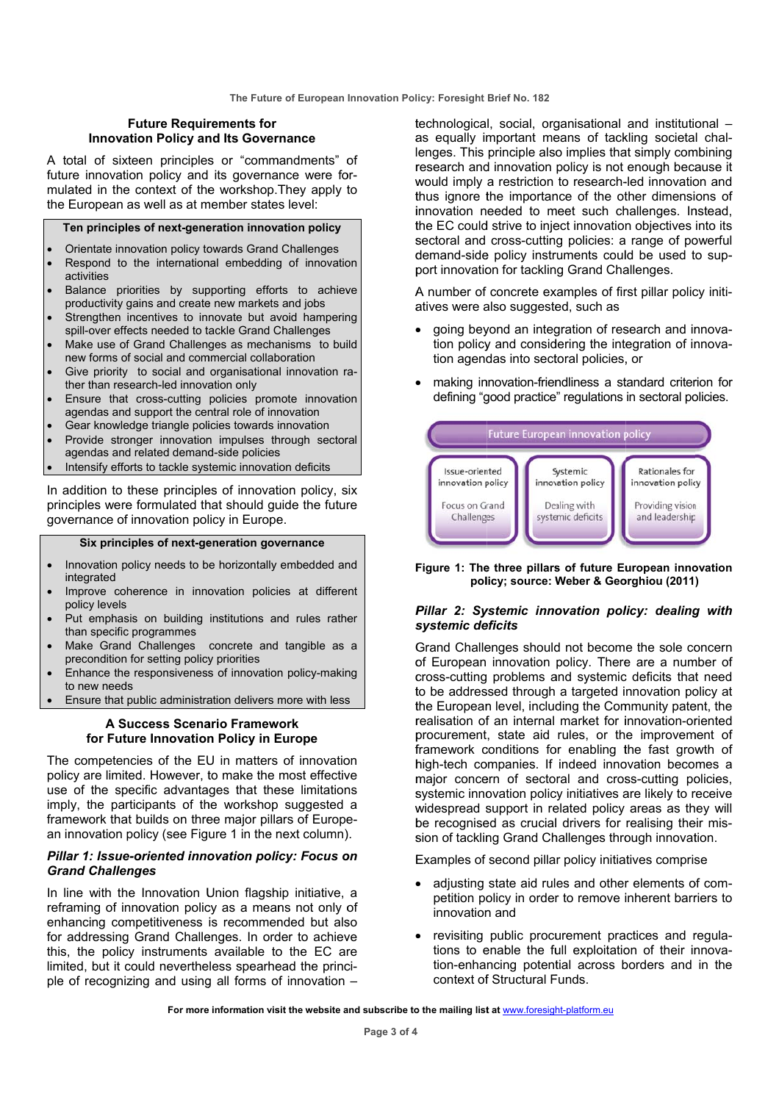## **Future Requirements for Innovation Policy and Its Governance**

A total of sixteen principles or "commandments" of future innovation policy and its governance were formulated in the context of the workshop. They apply to the European as well as at member states level:

#### Ten principles of next-generation innovation policy

- Orientate innovation policy towards Grand Challenges Respond to the international embedding of innovation
- activities Balance priorities by supporting efforts to achieve
- productivity gains and create new markets and jobs Strengthen incentives to innovate but avoid hampering
- spill-over effects needed to tackle Grand Challenges
- Make use of Grand Challenges as mechanisms to build new forms of social and commercial collaboration
- Give priority to social and organisational innovation rather than research-led innovation only
- Ensure that cross-cutting policies promote innovation agendas and support the central role of innovation
- Gear knowledge triangle policies towards innovation
- Provide stronger innovation impulses through sectoral agendas and related demand-side policies
- Intensify efforts to tackle systemic innovation deficits

In addition to these principles of innovation policy, six principles were formulated that should guide the future governance of innovation policy in Europe.

#### Six principles of next-generation governance

- Innovation policy needs to be horizontally embedded and integrated
- Improve coherence in innovation policies at different policy levels
- Put emphasis on building institutions and rules rather than specific programmes
- Make Grand Challenges concrete and tangible as a precondition for setting policy priorities
- Enhance the responsiveness of innovation policy-making to new needs
- Ensure that public administration delivers more with less

## A Success Scenario Framework for Future Innovation Policy in Europe

The competencies of the EU in matters of innovation policy are limited. However, to make the most effective use of the specific advantages that these limitations imply, the participants of the workshop suggested a framework that builds on three maior pillars of European innovation policy (see Figure 1 in the next column).

## Pillar 1: Issue-oriented innovation policy: Focus on **Grand Challenges**

In line with the Innovation Union flagship initiative, a reframing of innovation policy as a means not only of enhancing competitiveness is recommended but also for addressing Grand Challenges. In order to achieve this, the policy instruments available to the EC are limited, but it could nevertheless spearhead the principle of recognizing and using all forms of innovation -

technological, social, organisational and institutional as equally important means of tackling societal challenges. This principle also implies that simply combining research and innovation policy is not enough because it would imply a restriction to research-led innovation and thus ignore the importance of the other dimensions of innovation needed to meet such challenges. Instead, the EC could strive to inject innovation objectives into its sectoral and cross-cutting policies: a range of powerful demand-side policy instruments could be used to support innovation for tackling Grand Challenges.

A number of concrete examples of first pillar policy initiatives were also suggested, such as

- going beyond an integration of research and innovation policy and considering the integration of innovation agendas into sectoral policies, or
- making innovation-friendliness a standard criterion for defining "good practice" regulations in sectoral policies.



#### Figure 1: The three pillars of future European innovation policy; source: Weber & Georghiou (2011)

## Pillar 2: Systemic innovation policy: dealing with systemic deficits

Grand Challenges should not become the sole concern of European innovation policy. There are a number of cross-cutting problems and systemic deficits that need to be addressed through a targeted innovation policy at the European level, including the Community patent, the realisation of an internal market for innovation-oriented procurement, state aid rules, or the improvement of framework conditions for enabling the fast growth of high-tech companies. If indeed innovation becomes a major concern of sectoral and cross-cutting policies, systemic innovation policy initiatives are likely to receive widespread support in related policy areas as they will be recognised as crucial drivers for realising their mission of tackling Grand Challenges through innovation.

Examples of second pillar policy initiatives comprise

- adjusting state aid rules and other elements of competition policy in order to remove inherent barriers to innovation and
- revisiting public procurement practices and regulations to enable the full exploitation of their innovation-enhancing potential across borders and in the context of Structural Funds.

For more information visit the website and subscribe to the mailing list at www.foresight-platform.eu